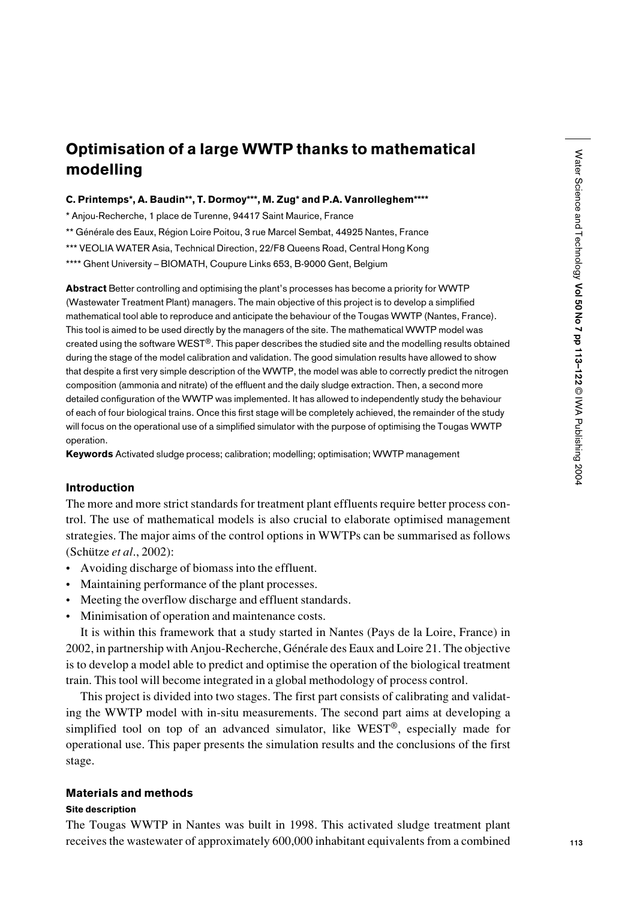# Optimisation of a large WWTP thanks to mathematical modelling

#### C. Printemps\*, A. Baudin\*\*, T. Dormoy\*\*\*, M. Zug\* and P.A. Vanrolleghem\*\*\*\*

\* Anjou-Recherche, 1 place de Turenne, 94417 Saint Maurice, France

\*\* Générale des Eaux, Région Loire Poitou, 3 rue Marcel Sembat, 44925 Nantes, France

\*\*\* VEOLIA WATER Asia, Technical Direction, 22/F8 Queens Road, Central Hong Kong

\*\*\*\* Ghent University – BIOMATH, Coupure Links 653, B-9000 Gent, Belgium

Abstract Better controlling and optimising the plant's processes has become a priority for WWTP (Wastewater Treatment Plant) managers. The main objective of this project is to develop a simplified mathematical tool able to reproduce and anticipate the behaviour of the Tougas WWTP (Nantes, France). This tool is aimed to be used directly by the managers of the site. The mathematical WWTP model was created using the software WEST®. This paper describes the studied site and the modelling results obtained during the stage of the model calibration and validation. The good simulation results have allowed to show that despite a first very simple description of the WWTP, the model was able to correctly predict the nitrogen composition (ammonia and nitrate) of the effluent and the daily sludge extraction. Then, a second more detailed configuration of the WWTP was implemented. It has allowed to independently study the behaviour of each of four biological trains. Once this first stage will be completely achieved, the remainder of the study will focus on the operational use of a simplified simulator with the purpose of optimising the Tougas WWTP operation.

Keywords Activated sludge process; calibration; modelling; optimisation; WWTP management

### Introduction

The more and more strict standards for treatment plant effluents require better process control. The use of mathematical models is also crucial to elaborate optimised management strategies. The major aims of the control options in WWTPs can be summarised as follows (Schütze *et al*., 2002):

- Avoiding discharge of biomass into the effluent.
- Maintaining performance of the plant processes.
- Meeting the overflow discharge and effluent standards.
- Minimisation of operation and maintenance costs.

It is within this framework that a study started in Nantes (Pays de la Loire, France) in 2002, in partnership with Anjou-Recherche, Générale des Eaux and Loire 21. The objective is to develop a model able to predict and optimise the operation of the biological treatment train. This tool will become integrated in a global methodology of process control.

This project is divided into two stages. The first part consists of calibrating and validating the WWTP model with in-situ measurements. The second part aims at developing a simplified tool on top of an advanced simulator, like  $WEST^{\circledcirc}$ , especially made for operational use. This paper presents the simulation results and the conclusions of the first stage.

# Materials and methods

#### Site description

The Tougas WWTP in Nantes was built in 1998. This activated sludge treatment plant receives the wastewater of approximately 600,000 inhabitant equivalents from a combined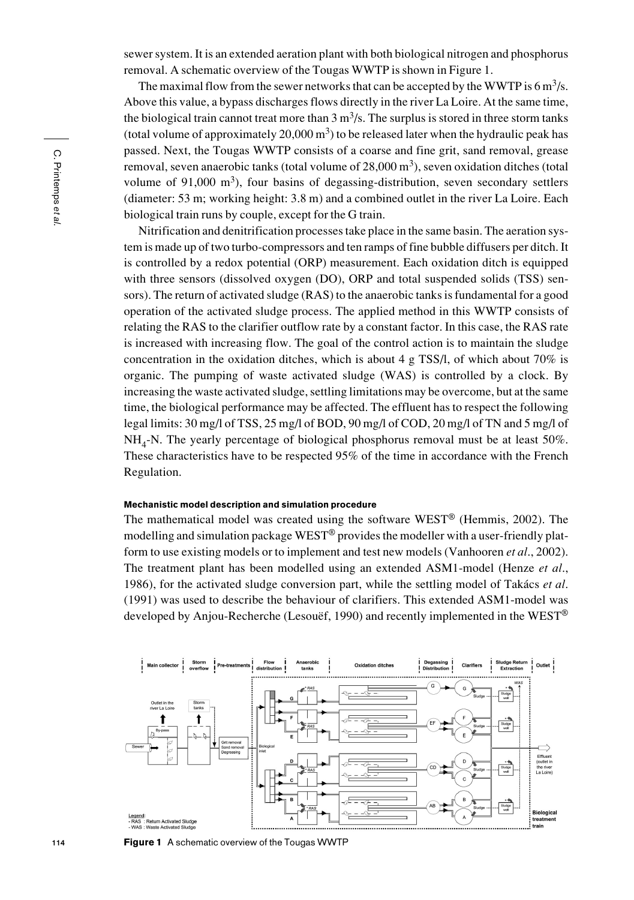sewer system. It is an extended aeration plant with both biological nitrogen and phosphorus removal. A schematic overview of the Tougas WWTP is shown in Figure 1.

The maximal flow from the sewer networks that can be accepted by the WWTP is 6 m<sup>3</sup>/s. Above this value, a bypass discharges flows directly in the river La Loire. At the same time, the biological train cannot treat more than  $3 \text{ m}^3$ /s. The surplus is stored in three storm tanks (total volume of approximately  $20,000 \text{ m}^3$ ) to be released later when the hydraulic peak has passed. Next, the Tougas WWTP consists of a coarse and fine grit, sand removal, grease removal, seven anaerobic tanks (total volume of  $28,000 \text{ m}^3$ ), seven oxidation ditches (total volume of  $91,000 \text{ m}^3$ ), four basins of degassing-distribution, seven secondary settlers (diameter: 53 m; working height: 3.8 m) and a combined outlet in the river La Loire. Each biological train runs by couple, except for the G train.

Nitrification and denitrification processes take place in the same basin. The aeration system is made up of two turbo-compressors and ten ramps of fine bubble diffusers per ditch. It is controlled by a redox potential (ORP) measurement. Each oxidation ditch is equipped with three sensors (dissolved oxygen (DO), ORP and total suspended solids (TSS) sensors). The return of activated sludge (RAS) to the anaerobic tanks is fundamental for a good operation of the activated sludge process. The applied method in this WWTP consists of relating the RAS to the clarifier outflow rate by a constant factor. In this case, the RAS rate is increased with increasing flow. The goal of the control action is to maintain the sludge concentration in the oxidation ditches, which is about  $4 \text{ g TSS/l}$ , of which about 70% is organic. The pumping of waste activated sludge (WAS) is controlled by a clock. By increasing the waste activated sludge, settling limitations may be overcome, but at the same time, the biological performance may be affected. The effluent has to respect the following legal limits: 30 mg/l of TSS, 25 mg/l of BOD, 90 mg/l of COD, 20 mg/l of TN and 5 mg/l of  $NH<sub>4</sub>$ -N. The yearly percentage of biological phosphorus removal must be at least 50%. These characteristics have to be respected 95% of the time in accordance with the French Regulation.

#### Mechanistic model description and simulation procedure

The mathematical model was created using the software WEST® (Hemmis, 2002). The modelling and simulation package WEST<sup>®</sup> provides the modeller with a user-friendly platform to use existing models or to implement and test new models (Vanhooren *et al*., 2002). The treatment plant has been modelled using an extended ASM1-model (Henze *et al*., 1986), for the activated sludge conversion part, while the settling model of Takács *et al*. (1991) was used to describe the behaviour of clarifiers. This extended ASM1-model was developed by Anjou-Recherche (Lesouëf, 1990) and recently implemented in the WEST®



**114** Figure 1 A schematic overview of the Tougas WWTP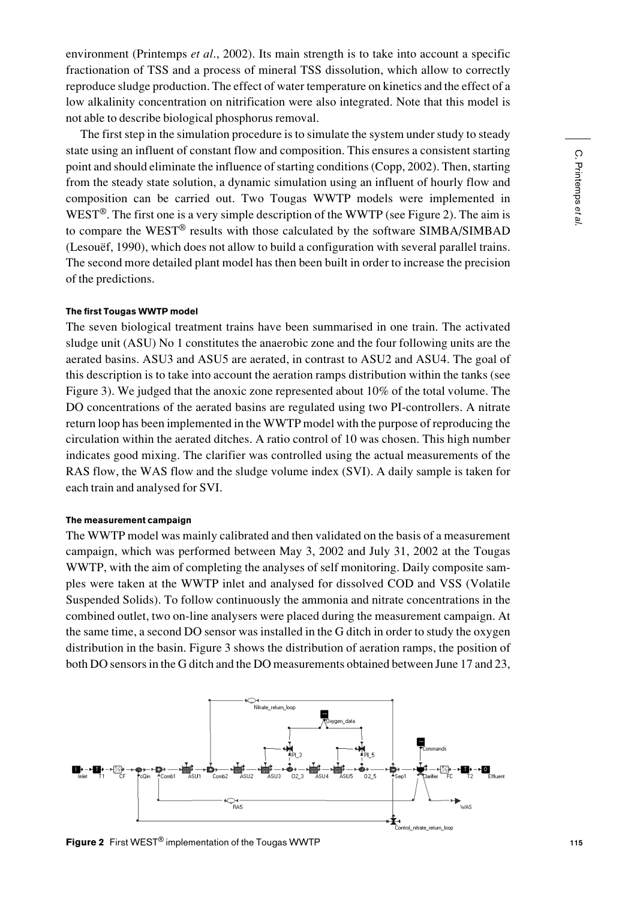environment (Printemps *et al*., 2002). Its main strength is to take into account a specific fractionation of TSS and a process of mineral TSS dissolution, which allow to correctly reproduce sludge production. The effect of water temperature on kinetics and the effect of a low alkalinity concentration on nitrification were also integrated. Note that this model is not able to describe biological phosphorus removal.

The first step in the simulation procedure is to simulate the system under study to steady state using an influent of constant flow and composition. This ensures a consistent starting point and should eliminate the influence of starting conditions (Copp, 2002). Then, starting from the steady state solution, a dynamic simulation using an influent of hourly flow and composition can be carried out. Two Tougas WWTP models were implemented in WEST<sup>®</sup>. The first one is a very simple description of the WWTP (see Figure 2). The aim is to compare the WEST® results with those calculated by the software SIMBA/SIMBAD (Lesouëf, 1990), which does not allow to build a configuration with several parallel trains. The second more detailed plant model has then been built in order to increase the precision of the predictions.

# The first Tougas WWTP model

The seven biological treatment trains have been summarised in one train. The activated sludge unit (ASU) No 1 constitutes the anaerobic zone and the four following units are the aerated basins. ASU3 and ASU5 are aerated, in contrast to ASU2 and ASU4. The goal of this description is to take into account the aeration ramps distribution within the tanks (see Figure 3). We judged that the anoxic zone represented about 10% of the total volume. The DO concentrations of the aerated basins are regulated using two PI-controllers. A nitrate return loop has been implemented in the WWTP model with the purpose of reproducing the circulation within the aerated ditches. A ratio control of 10 was chosen. This high number indicates good mixing. The clarifier was controlled using the actual measurements of the RAS flow, the WAS flow and the sludge volume index (SVI). A daily sample is taken for each train and analysed for SVI.

#### The measurement campaign

The WWTP model was mainly calibrated and then validated on the basis of a measurement campaign, which was performed between May 3, 2002 and July 31, 2002 at the Tougas WWTP, with the aim of completing the analyses of self monitoring. Daily composite samples were taken at the WWTP inlet and analysed for dissolved COD and VSS (Volatile Suspended Solids). To follow continuously the ammonia and nitrate concentrations in the combined outlet, two on-line analysers were placed during the measurement campaign. At the same time, a second DO sensor was installed in the G ditch in order to study the oxygen distribution in the basin. Figure 3 shows the distribution of aeration ramps, the position of both DO sensors in the G ditch and the DO measurements obtained between June 17 and 23,

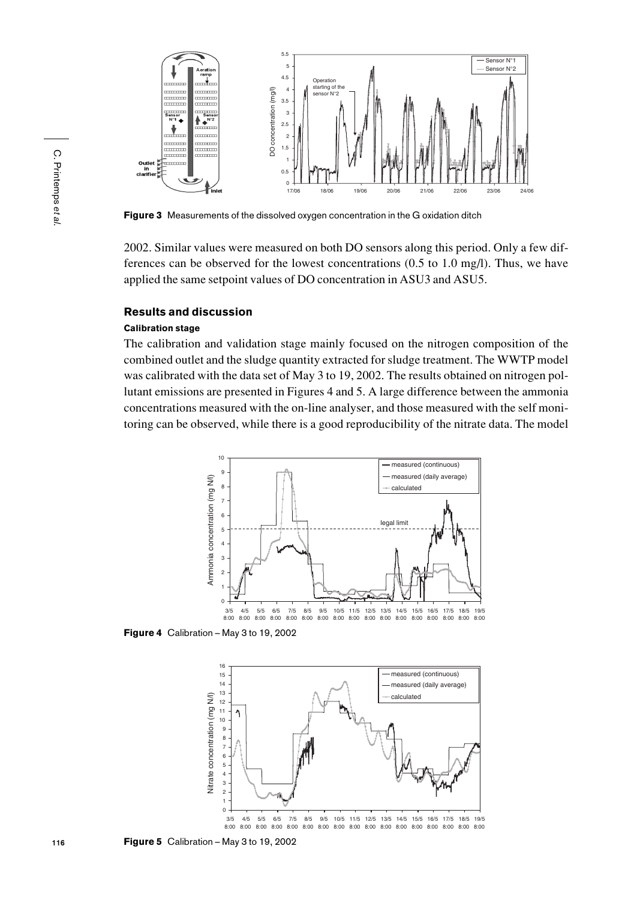

**Figure 3** Measurements of the dissolved oxygen concentration in the G oxidation ditch

2002. Similar values were measured on both DO sensors along this period. Only a few differences can be observed for the lowest concentrations (0.5 to 1.0 mg/l). Thus, we have applied the same setpoint values of DO concentration in ASU3 and ASU5.

#### Results and discussion

#### Calibration stage

The calibration and validation stage mainly focused on the nitrogen composition of the combined outlet and the sludge quantity extracted for sludge treatment. The WWTP model was calibrated with the data set of May 3 to 19, 2002. The results obtained on nitrogen pollutant emissions are presented in Figures 4 and 5. A large difference between the ammonia concentrations measured with the on-line analyser, and those measured with the self monitoring can be observed, while there is a good reproducibility of the nitrate data. The model



Figure 4 Calibration – May 3 to 19, 2002



Figure 5 Calibration – May 3 to 19, 2002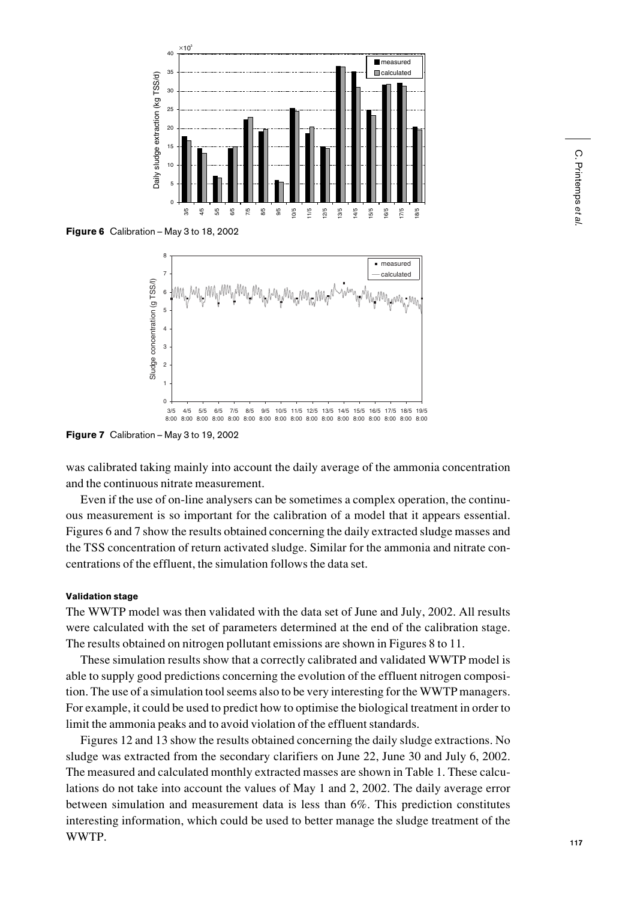

C. Printemps *et al.*

C. Printemps et al

Figure 6 Calibration – May 3 to 18, 2002



Figure 7 Calibration – May 3 to 19, 2002

was calibrated taking mainly into account the daily average of the ammonia concentration and the continuous nitrate measurement.

Even if the use of on-line analysers can be sometimes a complex operation, the continuous measurement is so important for the calibration of a model that it appears essential. Figures 6 and 7 show the results obtained concerning the daily extracted sludge masses and the TSS concentration of return activated sludge. Similar for the ammonia and nitrate concentrations of the effluent, the simulation follows the data set.

#### Validation stage

The WWTP model was then validated with the data set of June and July, 2002. All results were calculated with the set of parameters determined at the end of the calibration stage. The results obtained on nitrogen pollutant emissions are shown in Figures 8 to 11.

These simulation results show that a correctly calibrated and validated WWTP model is able to supply good predictions concerning the evolution of the effluent nitrogen composition. The use of a simulation tool seems also to be very interesting for the WWTP managers. For example, it could be used to predict how to optimise the biological treatment in order to limit the ammonia peaks and to avoid violation of the effluent standards.

Figures 12 and 13 show the results obtained concerning the daily sludge extractions. No sludge was extracted from the secondary clarifiers on June 22, June 30 and July 6, 2002. The measured and calculated monthly extracted masses are shown in Table 1. These calculations do not take into account the values of May 1 and 2, 2002. The daily average error between simulation and measurement data is less than 6%. This prediction constitutes interesting information, which could be used to better manage the sludge treatment of the WWTP.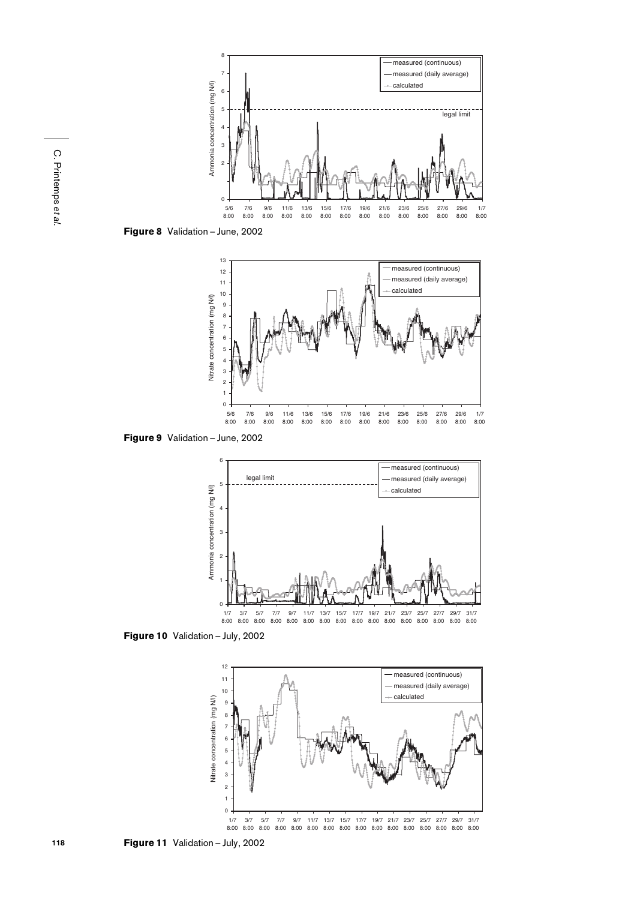

Figure 8 Validation – June, 2002



Figure 9 Validation – June, 2002



Figure 10 Validation – July, 2002



Figure 11 Validation – July, 2002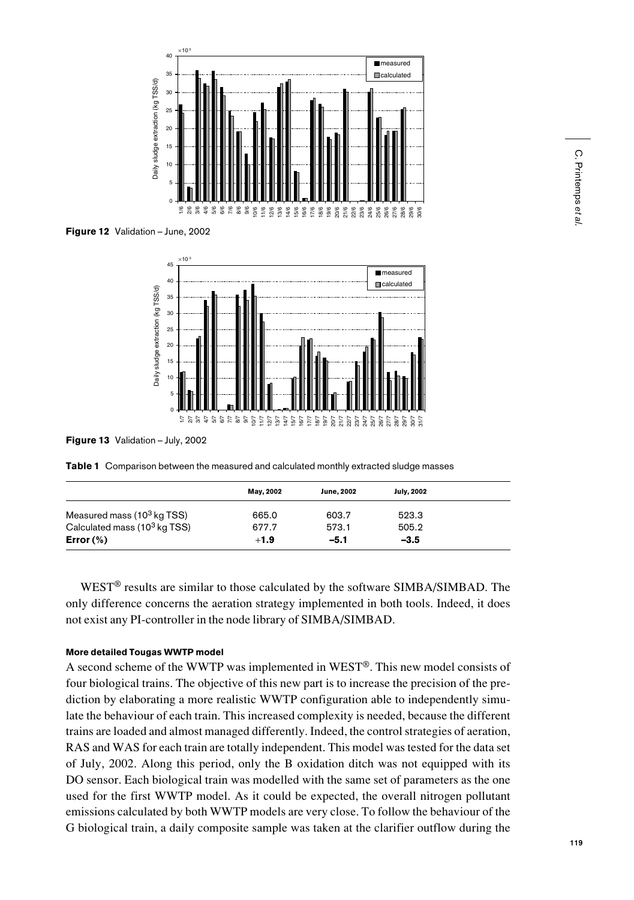

Figure 12 Validation – June, 2002



Figure 13 Validation – July, 2002

Table 1 Comparison between the measured and calculated monthly extracted sludge masses

|                                          | May, 2002 | <b>June, 2002</b> | <b>July, 2002</b> |
|------------------------------------------|-----------|-------------------|-------------------|
| Measured mass (10 <sup>3</sup> kg TSS)   | 665.0     | 603.7             | 523.3             |
| Calculated mass (10 <sup>3</sup> kg TSS) | 677.7     | 573.1             | 505.2             |
| Error $(\%)$                             | $+1.9$    | $-5.1$            | $-3.5$            |

WEST® results are similar to those calculated by the software SIMBA/SIMBAD. The only difference concerns the aeration strategy implemented in both tools. Indeed, it does not exist any PI-controller in the node library of SIMBA/SIMBAD.

#### More detailed Tougas WWTP model

A second scheme of the WWTP was implemented in WEST®. This new model consists of four biological trains. The objective of this new part is to increase the precision of the prediction by elaborating a more realistic WWTP configuration able to independently simulate the behaviour of each train. This increased complexity is needed, because the different trains are loaded and almost managed differently. Indeed, the control strategies of aeration, RAS and WAS for each train are totally independent. This model was tested for the data set of July, 2002. Along this period, only the B oxidation ditch was not equipped with its DO sensor. Each biological train was modelled with the same set of parameters as the one used for the first WWTP model. As it could be expected, the overall nitrogen pollutant emissions calculated by both WWTP models are very close. To follow the behaviour of the G biological train, a daily composite sample was taken at the clarifier outflow during the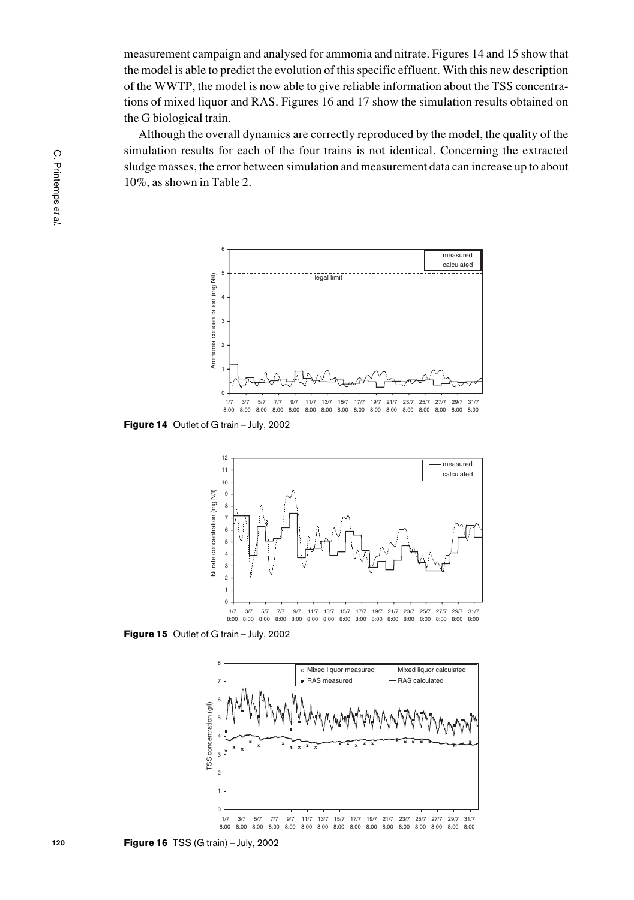measurement campaign and analysed for ammonia and nitrate. Figures 14 and 15 show that the model is able to predict the evolution of this specific effluent. With this new description of the WWTP, the model is now able to give reliable information about the TSS concentrations of mixed liquor and RAS. Figures 16 and 17 show the simulation results obtained on the G biological train.

Although the overall dynamics are correctly reproduced by the model, the quality of the simulation results for each of the four trains is not identical. Concerning the extracted sludge masses, the error between simulation and measurement data can increase up to about 10%, as shown in Table 2.



Figure 14 Outlet of G train – July, 2002



Figure 15 Outlet of G train – July, 2002

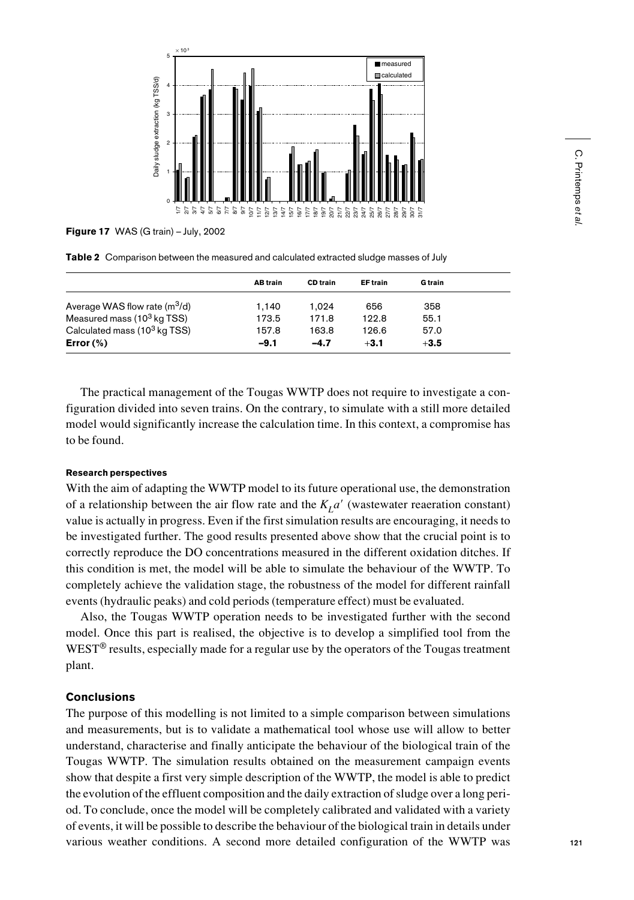

Figure 17 WAS (G train) – July, 2002

|  | Table 2 Comparison between the measured and calculated extracted sludge masses of July |  |  |
|--|----------------------------------------------------------------------------------------|--|--|
|--|----------------------------------------------------------------------------------------|--|--|

|                                               | <b>AB</b> train | <b>CD</b> train | <b>EF</b> train | <b>G</b> train |
|-----------------------------------------------|-----------------|-----------------|-----------------|----------------|
| Average WAS flow rate $(m^3/d)$               | 1.140           | 1.024           | 656             | 358            |
| Measured mass $(10^3 \text{ kg} \text{ TSS})$ | 173.5           | 171.8           | 122.8           | 55.1           |
| Calculated mass (10 <sup>3</sup> kg TSS)      | 157.8           | 163.8           | 126.6           | 57.0           |
| Error $(\%)$                                  | $-9.1$          | $-4.7$          | $+3.1$          | $+3.5$         |

The practical management of the Tougas WWTP does not require to investigate a configuration divided into seven trains. On the contrary, to simulate with a still more detailed model would significantly increase the calculation time. In this context, a compromise has to be found.

#### Research perspectives

With the aim of adapting the WWTP model to its future operational use, the demonstration of a relationship between the air flow rate and the  $K<sub>l</sub>a'$ <sup>'</sup> (wastewater reaeration constant) value is actually in progress. Even if the first simulation results are encouraging, it needs to be investigated further. The good results presented above show that the crucial point is to correctly reproduce the DO concentrations measured in the different oxidation ditches. If this condition is met, the model will be able to simulate the behaviour of the WWTP. To completely achieve the validation stage, the robustness of the model for different rainfall events (hydraulic peaks) and cold periods (temperature effect) must be evaluated.

Also, the Tougas WWTP operation needs to be investigated further with the second model. Once this part is realised, the objective is to develop a simplified tool from the WEST® results, especially made for a regular use by the operators of the Tougas treatment plant.

# **Conclusions**

The purpose of this modelling is not limited to a simple comparison between simulations and measurements, but is to validate a mathematical tool whose use will allow to better understand, characterise and finally anticipate the behaviour of the biological train of the Tougas WWTP. The simulation results obtained on the measurement campaign events show that despite a first very simple description of the WWTP, the model is able to predict the evolution of the effluent composition and the daily extraction of sludge over a long period. To conclude, once the model will be completely calibrated and validated with a variety of events, it will be possible to describe the behaviour of the biological train in details under various weather conditions. A second more detailed configuration of the WWTP was